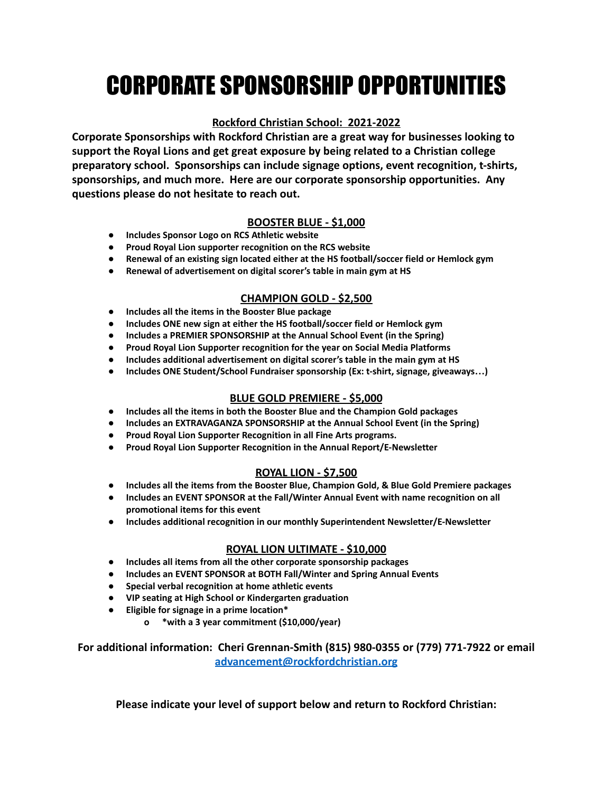# CORPORATE SPONSORSHIP OPPORTUNITIES

## **Rockford Christian School: 2021-2022**

**Corporate Sponsorships with Rockford Christian are a great way for businesses looking to support the Royal Lions and get great exposure by being related to a Christian college preparatory school. Sponsorships can include signage options, event recognition, t-shirts, sponsorships, and much more. Here are our corporate sponsorship opportunities. Any questions please do not hesitate to reach out.**

### **BOOSTER BLUE - \$1,000**

- **● Includes Sponsor Logo on RCS Athletic website**
- **● Proud Royal Lion supporter recognition on the RCS website**
- **● Renewal of an existing sign located either at the HS football/soccer field or Hemlock gym**
- **● Renewal of advertisement on digital scorer's table in main gym at HS**

#### **CHAMPION GOLD - \$2,500**

- **● Includes all the items in the Booster Blue package**
- **● Includes ONE new sign at either the HS football/soccer field or Hemlock gym**
- **● Includes a PREMIER SPONSORSHIP at the Annual School Event (in the Spring)**
- **● Proud Royal Lion Supporter recognition for the year on Social Media Platforms**
- **● Includes additional advertisement on digital scorer's table in the main gym at HS**
- **● Includes ONE Student/School Fundraiser sponsorship (Ex: t-shirt, signage, giveaways…)**

### **BLUE GOLD PREMIERE - \$5,000**

- **● Includes all the items in both the Booster Blue and the Champion Gold packages**
- **● Includes an EXTRAVAGANZA SPONSORSHIP at the Annual School Event (in the Spring)**
- **● Proud Royal Lion Supporter Recognition in all Fine Arts programs.**
- **● Proud Royal Lion Supporter Recognition in the Annual Report/E-Newsletter**

### **ROYAL LION - \$7,500**

- **● Includes all the items from the Booster Blue, Champion Gold, & Blue Gold Premiere packages**
- **● Includes an EVENT SPONSOR at the Fall/Winter Annual Event with name recognition on all promotional items for this event**
- **● Includes additional recognition in our monthly Superintendent Newsletter/E-Newsletter**

#### **ROYAL LION ULTIMATE - \$10,000**

- **● Includes all items from all the other corporate sponsorship packages**
- **● Includes an EVENT SPONSOR at BOTH Fall/Winter and Spring Annual Events**
- **● Special verbal recognition at home athletic events**
- **● VIP seating at High School or Kindergarten graduation**
- **● Eligible for signage in a prime location\***
	- **o \*with a 3 year commitment (\$10,000/year)**

**For additional information: Cheri Grennan-Smith (815) 980-0355 or (779) 771-7922 or email [advancement@rockfordchristian.org](mailto:advancement@rockfordchristian.org)**

**Please indicate your level of support below and return to Rockford Christian:**